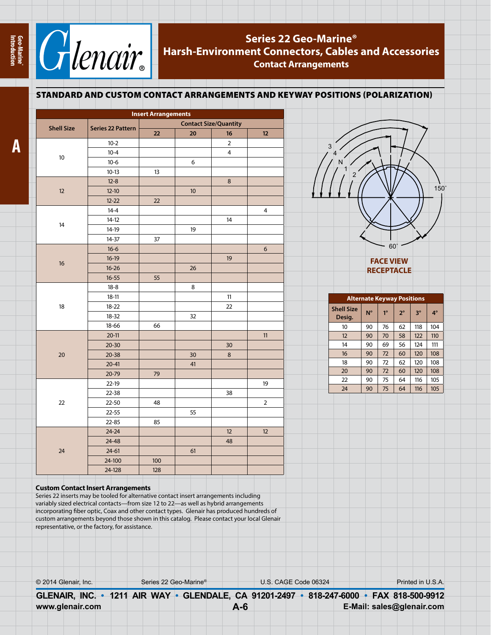

## **Series 22 Geo-Marine® Harsh-Environment Connectors, Cables and Accessories Contact Arrangements**

## **Alternate Keyway Positions Shell Size**   $\begin{array}{|c|c|c|c|c|}\n\hline\n\text{Design.} & \text{N}^\circ & \text{1}^\circ & \text{2}^\circ & \text{3}^\circ & \text{4}^\circ\n\end{array}$ 10 90 76 62 118 104 12 90 70 58 122 110 14 90 69 56 124 111 16 | 90 | 72 | 60 | 120 | 108 18 90 72 62 120 108 20 90 72 60 120 108 22 90 75 64 116 105 24 90 75 64 116 105 **FACE VIEW RECEPTACLE** 150˚ 60˚ 3 4 N 1 2 STANDARD AND CUSTOM CONTACT ARRANGEMENTS AND KEYWAY POSITIONS (POLARIZATION)  **Insert Arrangements Shell Size Series 22 Pattern Contact Size/Quantity 22 20 16 12** 10 10-2 2 10-4 4 10-6 6 10-13 | 13 12 12-8 8  $12-10$  10  $12-22$  22 14 14-4 4 14-12 14 14-19 19 14-37 | 37 16 16-6 6 16-19 19  $16-26$  26 16-55 | 55 18 18-8 | 8 18-11 | 11 18-22 | 22 18-32 32 18-66 66 20 20-11 | | | | | | | 11 20-30 | 30  $20-38$  | 30 | 8  $20-41$  41 20-79 79 22 22-19 19 22-38 38 22-50 48 2 22-55 | 55 22-85 85 24 24-24 12 12  $24-48$  48  $24-61$  | 61 24-100 | 100 24-128 128

## **Custom Contact Insert Arrangements**

Series 22 inserts may be tooled for alternative contact insert arrangements including variably sized electrical contacts—from size 12 to 22—as well as hybrid arrangements incorporating fiber optic, Coax and other contact types. Glenair has produced hundreds of custom arrangements beyond those shown in this catalog. Please contact your local Glenair representative, or the factory, for assistance.

| Series 22 Geo-Marine® | U.S. CAGE Code 06324 | Printed in U.S.A.                                                 |
|-----------------------|----------------------|-------------------------------------------------------------------|
|                       |                      | 818-247-6000 FAX 818-500-9912                                     |
|                       |                      | E-Mail: sales@glenair.com                                         |
|                       |                      | GLENAIR, INC. • 1211 AIR WAY • GLENDALE, CA 91201-2497<br>$A - 6$ |

**Geo-Marine® Introduction**